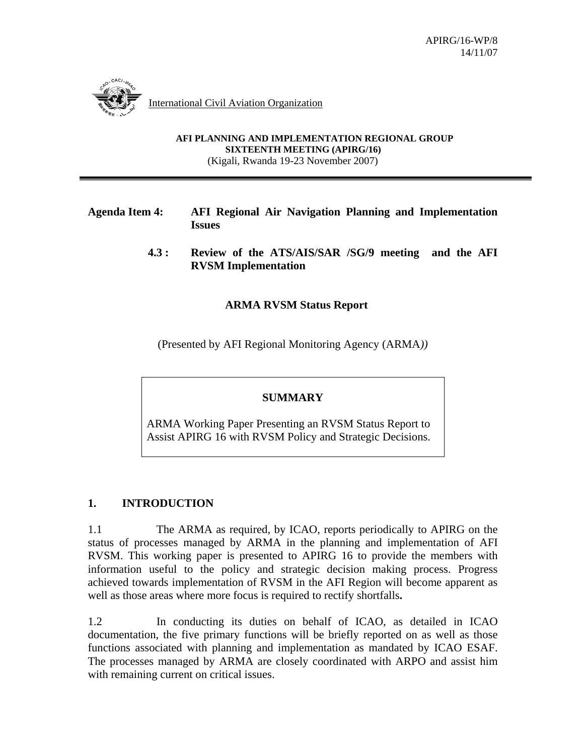

International Civil Aviation Organization

**AFI PLANNING AND IMPLEMENTATION REGIONAL GROUP SIXTEENTH MEETING (APIRG/16)**  (Kigali, Rwanda 19-23 November 2007)

#### **Agenda Item 4: AFI Regional Air Navigation Planning and Implementation Issues**

**4.3 : Review of the ATS/AIS/SAR /SG/9 meeting and the AFI RVSM Implementation** 

#### **ARMA RVSM Status Report**

(Presented by AFI Regional Monitoring Agency (ARMA*))*

## **SUMMARY**

ARMA Working Paper Presenting an RVSM Status Report to Assist APIRG 16 with RVSM Policy and Strategic Decisions.

## **1. INTRODUCTION**

1.1 The ARMA as required, by ICAO, reports periodically to APIRG on the status of processes managed by ARMA in the planning and implementation of AFI RVSM. This working paper is presented to APIRG 16 to provide the members with information useful to the policy and strategic decision making process. Progress achieved towards implementation of RVSM in the AFI Region will become apparent as well as those areas where more focus is required to rectify shortfalls**.** 

1.2 In conducting its duties on behalf of ICAO, as detailed in ICAO documentation, the five primary functions will be briefly reported on as well as those functions associated with planning and implementation as mandated by ICAO ESAF. The processes managed by ARMA are closely coordinated with ARPO and assist him with remaining current on critical issues.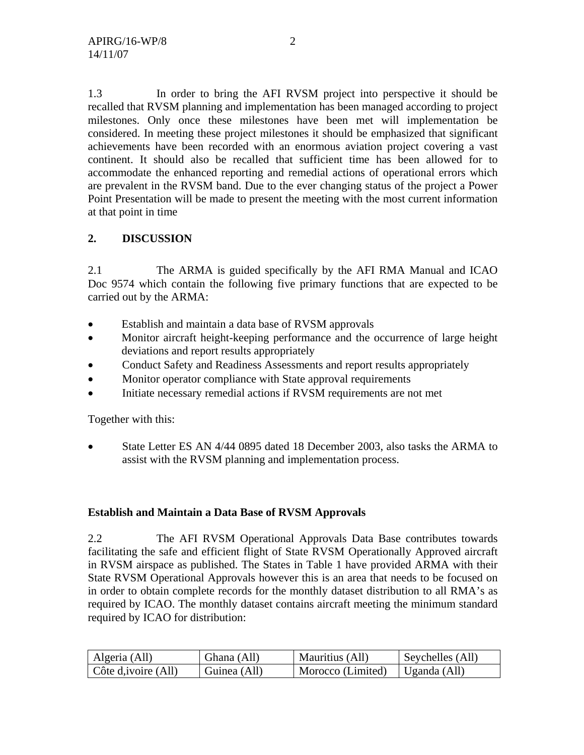1.3 In order to bring the AFI RVSM project into perspective it should be recalled that RVSM planning and implementation has been managed according to project milestones. Only once these milestones have been met will implementation be considered. In meeting these project milestones it should be emphasized that significant achievements have been recorded with an enormous aviation project covering a vast continent. It should also be recalled that sufficient time has been allowed for to accommodate the enhanced reporting and remedial actions of operational errors which are prevalent in the RVSM band. Due to the ever changing status of the project a Power Point Presentation will be made to present the meeting with the most current information at that point in time

# **2. DISCUSSION**

2.1 The ARMA is guided specifically by the AFI RMA Manual and ICAO Doc 9574 which contain the following five primary functions that are expected to be carried out by the ARMA:

- Establish and maintain a data base of RVSM approvals
- Monitor aircraft height-keeping performance and the occurrence of large height deviations and report results appropriately
- Conduct Safety and Readiness Assessments and report results appropriately
- Monitor operator compliance with State approval requirements
- Initiate necessary remedial actions if RVSM requirements are not met

Together with this:

• State Letter ES AN 4/44 0895 dated 18 December 2003, also tasks the ARMA to assist with the RVSM planning and implementation process.

## **Establish and Maintain a Data Base of RVSM Approvals**

2.2 The AFI RVSM Operational Approvals Data Base contributes towards facilitating the safe and efficient flight of State RVSM Operationally Approved aircraft in RVSM airspace as published. The States in Table 1 have provided ARMA with their State RVSM Operational Approvals however this is an area that needs to be focused on in order to obtain complete records for the monthly dataset distribution to all RMA's as required by ICAO. The monthly dataset contains aircraft meeting the minimum standard required by ICAO for distribution:

| Algeria (All)                | Ghana (All)  | Mauritius (All)   | Seychelles (All) |
|------------------------------|--------------|-------------------|------------------|
| $\vert$ Côte d, ivoire (All) | Guinea (All) | Morocco (Limited) | Uganda (All)     |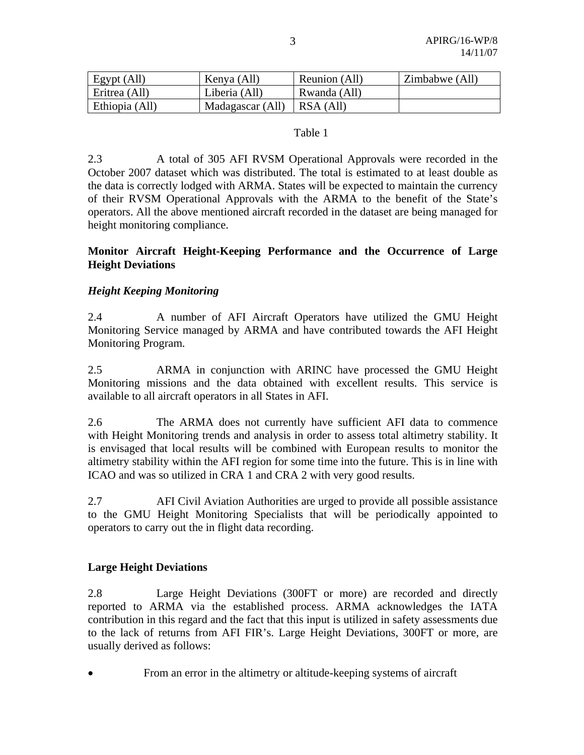| Egypt (All)    | Kenya (All)                    | Reunion (All) | Zimbabwe (All) |
|----------------|--------------------------------|---------------|----------------|
| Eritrea (All)  | Liberia (All)                  | Rwanda (All)  |                |
| Ethiopia (All) | Madagascar (All) $ $ RSA (All) |               |                |

#### Table 1

2.3 A total of 305 AFI RVSM Operational Approvals were recorded in the October 2007 dataset which was distributed. The total is estimated to at least double as the data is correctly lodged with ARMA. States will be expected to maintain the currency of their RVSM Operational Approvals with the ARMA to the benefit of the State's operators. All the above mentioned aircraft recorded in the dataset are being managed for height monitoring compliance.

#### **Monitor Aircraft Height-Keeping Performance and the Occurrence of Large Height Deviations**

## *Height Keeping Monitoring*

2.4 A number of AFI Aircraft Operators have utilized the GMU Height Monitoring Service managed by ARMA and have contributed towards the AFI Height Monitoring Program.

2.5 ARMA in conjunction with ARINC have processed the GMU Height Monitoring missions and the data obtained with excellent results. This service is available to all aircraft operators in all States in AFI.

2.6 The ARMA does not currently have sufficient AFI data to commence with Height Monitoring trends and analysis in order to assess total altimetry stability. It is envisaged that local results will be combined with European results to monitor the altimetry stability within the AFI region for some time into the future. This is in line with ICAO and was so utilized in CRA 1 and CRA 2 with very good results.

2.7 AFI Civil Aviation Authorities are urged to provide all possible assistance to the GMU Height Monitoring Specialists that will be periodically appointed to operators to carry out the in flight data recording.

## **Large Height Deviations**

2.8 Large Height Deviations (300FT or more) are recorded and directly reported to ARMA via the established process. ARMA acknowledges the IATA contribution in this regard and the fact that this input is utilized in safety assessments due to the lack of returns from AFI FIR's. Large Height Deviations, 300FT or more, are usually derived as follows:

• From an error in the altimetry or altitude-keeping systems of aircraft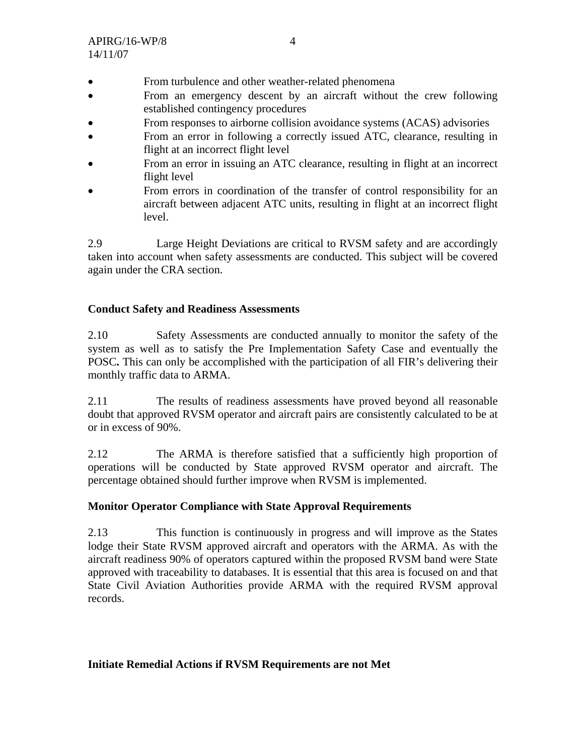- From turbulence and other weather-related phenomena
- From an emergency descent by an aircraft without the crew following established contingency procedures
- From responses to airborne collision avoidance systems (ACAS) advisories
- From an error in following a correctly issued ATC, clearance, resulting in flight at an incorrect flight level
- From an error in issuing an ATC clearance, resulting in flight at an incorrect flight level
- From errors in coordination of the transfer of control responsibility for an aircraft between adjacent ATC units, resulting in flight at an incorrect flight level.

2.9 Large Height Deviations are critical to RVSM safety and are accordingly taken into account when safety assessments are conducted. This subject will be covered again under the CRA section.

## **Conduct Safety and Readiness Assessments**

2.10 Safety Assessments are conducted annually to monitor the safety of the system as well as to satisfy the Pre Implementation Safety Case and eventually the POSC**.** This can only be accomplished with the participation of all FIR's delivering their monthly traffic data to ARMA.

2.11 The results of readiness assessments have proved beyond all reasonable doubt that approved RVSM operator and aircraft pairs are consistently calculated to be at or in excess of 90%.

2.12 The ARMA is therefore satisfied that a sufficiently high proportion of operations will be conducted by State approved RVSM operator and aircraft. The percentage obtained should further improve when RVSM is implemented.

## **Monitor Operator Compliance with State Approval Requirements**

2.13 This function is continuously in progress and will improve as the States lodge their State RVSM approved aircraft and operators with the ARMA. As with the aircraft readiness 90% of operators captured within the proposed RVSM band were State approved with traceability to databases. It is essential that this area is focused on and that State Civil Aviation Authorities provide ARMA with the required RVSM approval records.

## **Initiate Remedial Actions if RVSM Requirements are not Met**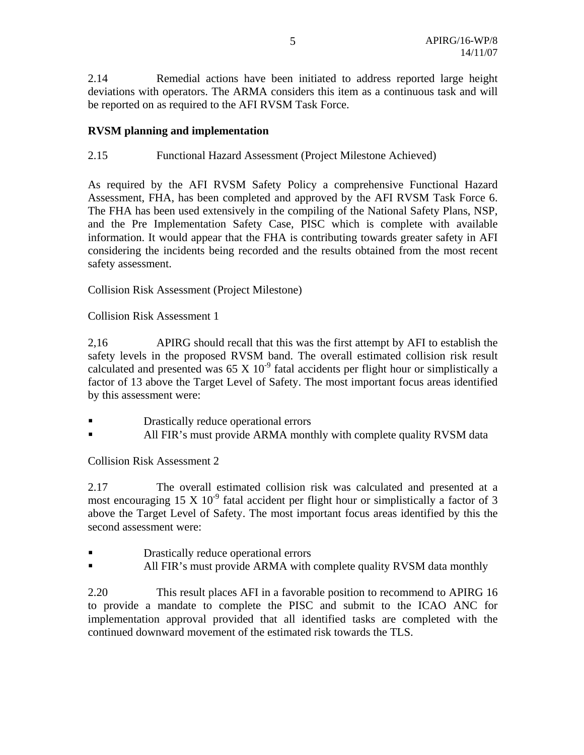2.14 Remedial actions have been initiated to address reported large height deviations with operators. The ARMA considers this item as a continuous task and will be reported on as required to the AFI RVSM Task Force.

#### **RVSM planning and implementation**

#### 2.15 Functional Hazard Assessment (Project Milestone Achieved)

As required by the AFI RVSM Safety Policy a comprehensive Functional Hazard Assessment, FHA, has been completed and approved by the AFI RVSM Task Force 6. The FHA has been used extensively in the compiling of the National Safety Plans, NSP, and the Pre Implementation Safety Case, PISC which is complete with available information. It would appear that the FHA is contributing towards greater safety in AFI considering the incidents being recorded and the results obtained from the most recent safety assessment.

Collision Risk Assessment (Project Milestone)

Collision Risk Assessment 1

2,16 APIRG should recall that this was the first attempt by AFI to establish the safety levels in the proposed RVSM band. The overall estimated collision risk result calculated and presented was  $65 \times 10^{-9}$  fatal accidents per flight hour or simplistically a factor of 13 above the Target Level of Safety. The most important focus areas identified by this assessment were:

- **Drastically reduce operational errors**
- All FIR's must provide ARMA monthly with complete quality RVSM data

Collision Risk Assessment 2

2.17 The overall estimated collision risk was calculated and presented at a most encouraging 15 X  $10^{-9}$  fatal accident per flight hour or simplistically a factor of 3 above the Target Level of Safety. The most important focus areas identified by this the second assessment were:

- Drastically reduce operational errors
- **All FIR's must provide ARMA with complete quality RVSM data monthly**

2.20 This result places AFI in a favorable position to recommend to APIRG 16 to provide a mandate to complete the PISC and submit to the ICAO ANC for implementation approval provided that all identified tasks are completed with the continued downward movement of the estimated risk towards the TLS.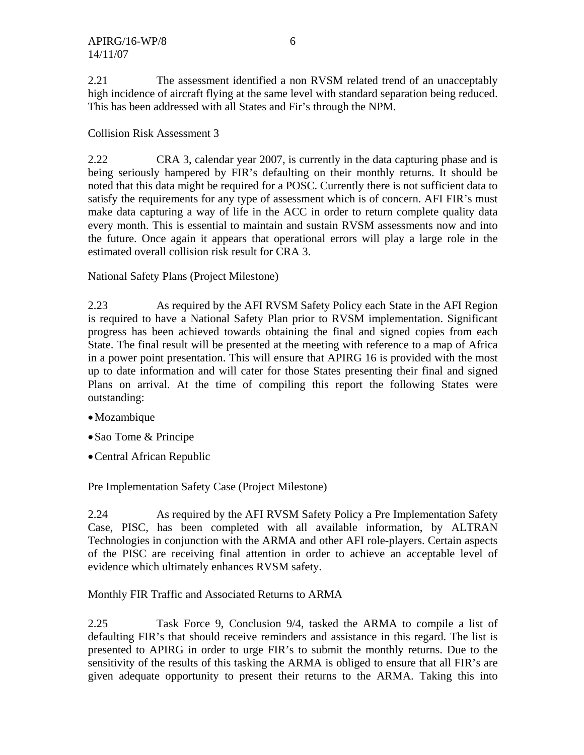2.21 The assessment identified a non RVSM related trend of an unacceptably high incidence of aircraft flying at the same level with standard separation being reduced. This has been addressed with all States and Fir's through the NPM.

Collision Risk Assessment 3

2.22 CRA 3, calendar year 2007, is currently in the data capturing phase and is being seriously hampered by FIR's defaulting on their monthly returns. It should be noted that this data might be required for a POSC. Currently there is not sufficient data to satisfy the requirements for any type of assessment which is of concern. AFI FIR's must make data capturing a way of life in the ACC in order to return complete quality data every month. This is essential to maintain and sustain RVSM assessments now and into the future. Once again it appears that operational errors will play a large role in the estimated overall collision risk result for CRA 3.

National Safety Plans (Project Milestone)

2.23 As required by the AFI RVSM Safety Policy each State in the AFI Region is required to have a National Safety Plan prior to RVSM implementation. Significant progress has been achieved towards obtaining the final and signed copies from each State. The final result will be presented at the meeting with reference to a map of Africa in a power point presentation. This will ensure that APIRG 16 is provided with the most up to date information and will cater for those States presenting their final and signed Plans on arrival. At the time of compiling this report the following States were outstanding:

- •Mozambique
- •Sao Tome & Principe
- •Central African Republic

Pre Implementation Safety Case (Project Milestone)

2.24 As required by the AFI RVSM Safety Policy a Pre Implementation Safety Case, PISC, has been completed with all available information, by ALTRAN Technologies in conjunction with the ARMA and other AFI role-players. Certain aspects of the PISC are receiving final attention in order to achieve an acceptable level of evidence which ultimately enhances RVSM safety.

Monthly FIR Traffic and Associated Returns to ARMA

2.25 Task Force 9, Conclusion 9/4, tasked the ARMA to compile a list of defaulting FIR's that should receive reminders and assistance in this regard. The list is presented to APIRG in order to urge FIR's to submit the monthly returns. Due to the sensitivity of the results of this tasking the ARMA is obliged to ensure that all FIR's are given adequate opportunity to present their returns to the ARMA. Taking this into